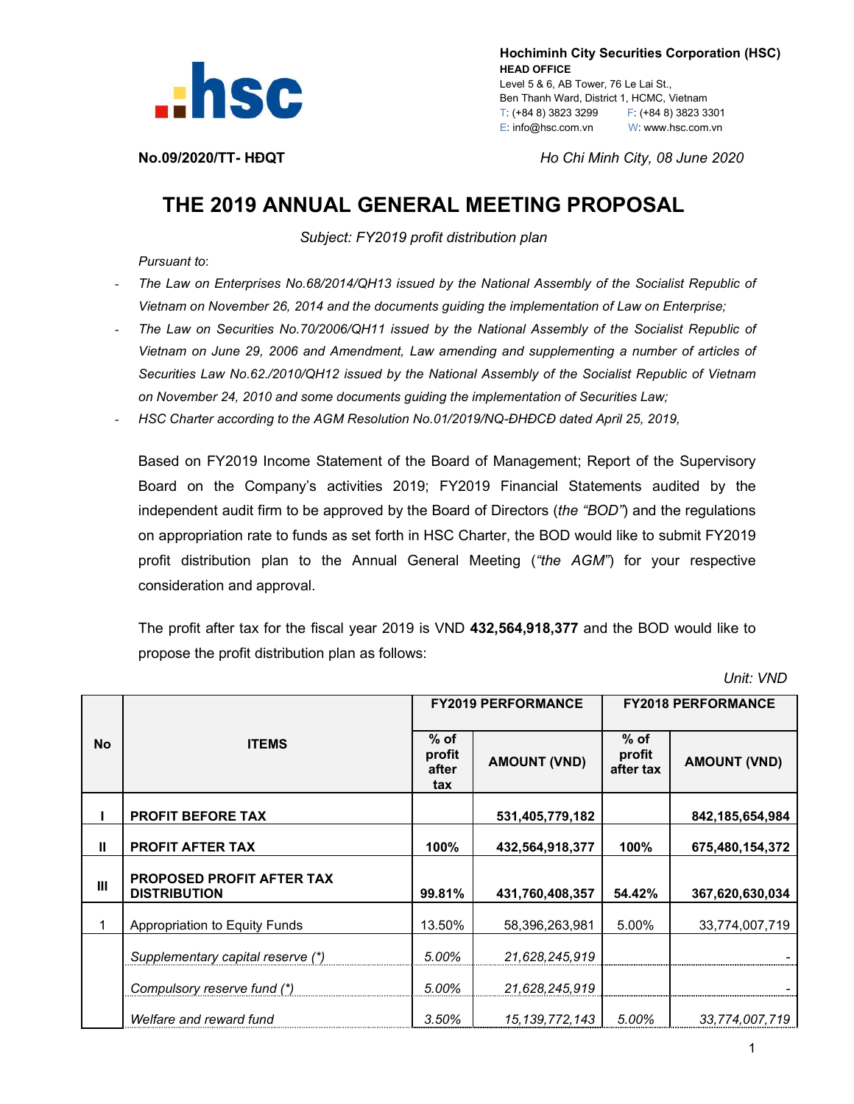

 **Hochiminh City Securities Corporation (HSC) HEAD OFFICE** Level 5 & 6, AB Tower, 76 Le Lai St., Ben Thanh Ward, District 1, HCMC, Vietnam T: (+84 8) 3823 3299 F: (+84 8) 3823 3301 E: info@hsc.com.vn W: www.hsc.com.vn

**No.09/2020/TT- HĐQT** *Ho Chi Minh City, 08 June 2020*

## **THE 2019 ANNUAL GENERAL MEETING PROPOSAL**

*Subject: FY2019 profit distribution plan*

*Pursuant to*:

- *The Law on Enterprises No.68/2014/QH13 issued by the National Assembly of the Socialist Republic of Vietnam on November 26, 2014 and the documents guiding the implementation of Law on Enterprise;*
- The Law on Securities No.70/2006/QH11 issued by the National Assembly of the Socialist Republic of *Vietnam on June 29, 2006 and Amendment, Law amending and supplementing a number of articles of Securities Law No.62./2010/QH12 issued by the National Assembly of the Socialist Republic of Vietnam on November 24, 2010 and some documents guiding the implementation of Securities Law;*
- *HSC Charter according to the AGM Resolution No.01/2019/NQ-ĐHĐCĐ dated April 25, 2019,*

Based on FY2019 Income Statement of the Board of Management; Report of the Supervisory Board on the Company's activities 2019; FY2019 Financial Statements audited by the independent audit firm to be approved by the Board of Directors (*the "BOD"*) and the regulations on appropriation rate to funds as set forth in HSC Charter, the BOD would like to submit FY2019 profit distribution plan to the Annual General Meeting (*"the AGM"*) for your respective consideration and approval.

The profit after tax for the fiscal year 2019 is VND **432,564,918,377** and the BOD would like to propose the profit distribution plan as follows:

 *Unit: VND*

| <b>No</b> | <b>ITEMS</b>                                            | <b>FY2019 PERFORMANCE</b>        |                     | <b>FY2018 PERFORMANCE</b>     |                     |
|-----------|---------------------------------------------------------|----------------------------------|---------------------|-------------------------------|---------------------|
|           |                                                         | $%$ of<br>profit<br>after<br>tax | <b>AMOUNT (VND)</b> | $%$ of<br>profit<br>after tax | <b>AMOUNT (VND)</b> |
|           | <b>PROFIT BEFORE TAX</b>                                |                                  | 531,405,779,182     |                               | 842, 185, 654, 984  |
| Ш         | <b>PROFIT AFTER TAX</b>                                 | 100%                             | 432,564,918,377     | 100%                          | 675,480,154,372     |
| Ш         | <b>PROPOSED PROFIT AFTER TAX</b><br><b>DISTRIBUTION</b> | 99.81%                           | 431,760,408,357     | 54.42%                        | 367,620,630,034     |
| 1         | Appropriation to Equity Funds                           | 13.50%                           | 58,396,263,981      | 5.00%                         | 33,774,007,719      |
|           | Supplementary capital reserve (*)                       | 5.00%                            | 21,628,245,919      |                               |                     |
|           | Compulsory reserve fund (*)                             | 5.00%                            | 21,628,245,919      |                               |                     |
|           | Welfare and reward fund                                 | 3.50%                            | 15, 139, 772, 143   | 5.00%                         | 33,774,007,719      |